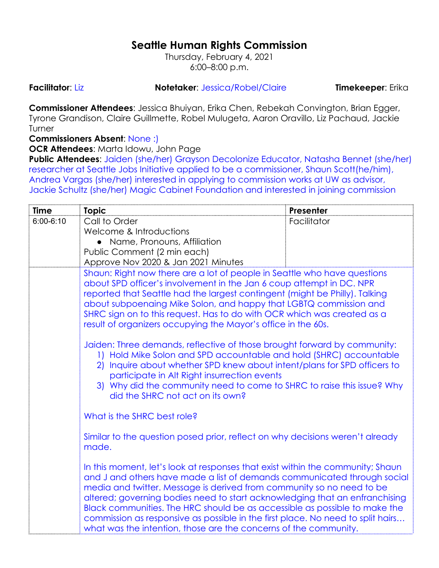## **Seattle Human Rights Commission**

Thursday, February 4, 2021 6:00–8:00 p.m.

**Facilitator**: Liz **Notetaker**: Jessica/Robel/Claire **Timekeeper**: Erika

**Commissioner Attendees**: Jessica Bhuiyan, Erika Chen, Rebekah Convington, Brian Egger, Tyrone Grandison, Claire Guillmette, Robel Mulugeta, Aaron Oravillo, Liz Pachaud, Jackie Turner

## **Commissioners Absent**: None :)

**OCR Attendees**: Marta Idowu, John Page

**Public Attendees**: Jaiden (she/her) Grayson Decolonize Educator, Natasha Bennet (she/her) researcher at Seattle Jobs Initiative applied to be a commissioner, Shaun Scott(he/him), Andrea Vargas (she/her) interested in applying to commission works at UW as advisor, Jackie Schultz (she/her) Magic Cabinet Foundation and interested in joining commission

| <b>Time</b>   | <b>Topic</b>                                                                                                                                                                                                                                                                                                                                                                                                                                                                                                                                                                                                                                                                                                                                                                                                                                 | <b>Presenter</b> |  |
|---------------|----------------------------------------------------------------------------------------------------------------------------------------------------------------------------------------------------------------------------------------------------------------------------------------------------------------------------------------------------------------------------------------------------------------------------------------------------------------------------------------------------------------------------------------------------------------------------------------------------------------------------------------------------------------------------------------------------------------------------------------------------------------------------------------------------------------------------------------------|------------------|--|
| $6:00 - 6:10$ | Call to Order                                                                                                                                                                                                                                                                                                                                                                                                                                                                                                                                                                                                                                                                                                                                                                                                                                | Facilitator      |  |
|               | Welcome & Introductions                                                                                                                                                                                                                                                                                                                                                                                                                                                                                                                                                                                                                                                                                                                                                                                                                      |                  |  |
|               | • Name, Pronouns, Affiliation                                                                                                                                                                                                                                                                                                                                                                                                                                                                                                                                                                                                                                                                                                                                                                                                                |                  |  |
|               | Public Comment (2 min each)                                                                                                                                                                                                                                                                                                                                                                                                                                                                                                                                                                                                                                                                                                                                                                                                                  |                  |  |
|               | Approve Nov 2020 & Jan 2021 Minutes                                                                                                                                                                                                                                                                                                                                                                                                                                                                                                                                                                                                                                                                                                                                                                                                          |                  |  |
|               | Shaun: Right now there are a lot of people in Seattle who have questions<br>about SPD officer's involvement in the Jan 6 coup attempt in DC. NPR<br>reported that Seattle had the largest contingent (might be Philly). Talking<br>about subpoenaing Mike Solon, and happy that LGBTQ commission and<br>SHRC sign on to this request. Has to do with OCR which was created as a<br>result of organizers occupying the Mayor's office in the 60s.<br>Jaiden: Three demands, reflective of those brought forward by community:<br>1) Hold Mike Solon and SPD accountable and hold (SHRC) accountable<br>2) Inquire about whether SPD knew about intent/plans for SPD officers to<br>participate in Alt Right insurrection events<br>3) Why did the community need to come to SHRC to raise this issue? Why<br>did the SHRC not act on its own? |                  |  |
|               | What is the SHRC best role?                                                                                                                                                                                                                                                                                                                                                                                                                                                                                                                                                                                                                                                                                                                                                                                                                  |                  |  |
|               | Similar to the question posed prior, reflect on why decisions weren't already<br>made.                                                                                                                                                                                                                                                                                                                                                                                                                                                                                                                                                                                                                                                                                                                                                       |                  |  |
|               | In this moment, let's look at responses that exist within the community; Shaun<br>and J and others have made a list of demands communicated through social<br>media and twitter. Message is derived from community so no need to be<br>altered; governing bodies need to start acknowledging that an enfranchising<br>Black communities. The HRC should be as accessible as possible to make the<br>commission as responsive as possible in the first place. No need to split hairs<br>what was the intention, those are the concerns of the community.                                                                                                                                                                                                                                                                                      |                  |  |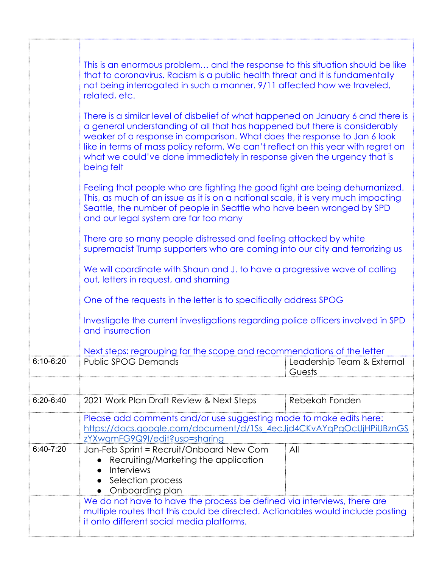|             | This is an enormous problem and the response to this situation should be like<br>that to coronavirus. Racism is a public health threat and it is fundamentally<br>not being interrogated in such a manner. 9/11 affected how we traveled,<br>related, etc.<br>There is a similar level of disbelief of what happened on January 6 and there is<br>a general understanding of all that has happened but there is considerably<br>weaker of a response in comparison. What does the response to Jan 6 look<br>like in terms of mass policy reform. We can't reflect on this year with regret on<br>what we could've done immediately in response given the urgency that is<br>being felt<br>Feeling that people who are fighting the good fight are being dehumanized.<br>This, as much of an issue as it is on a national scale, it is very much impacting<br>Seattle, the number of people in Seattle who have been wronged by SPD<br>and our legal system are far too many<br>There are so many people distressed and feeling attacked by white<br>supremacist Trump supporters who are coming into our city and terrorizing us<br>We will coordinate with Shaun and J. to have a progressive wave of calling<br>out, letters in request, and shaming<br>One of the requests in the letter is to specifically address SPOG<br>Investigate the current investigations regarding police officers involved in SPD<br>and insurrection |                                      |  |
|-------------|-------------------------------------------------------------------------------------------------------------------------------------------------------------------------------------------------------------------------------------------------------------------------------------------------------------------------------------------------------------------------------------------------------------------------------------------------------------------------------------------------------------------------------------------------------------------------------------------------------------------------------------------------------------------------------------------------------------------------------------------------------------------------------------------------------------------------------------------------------------------------------------------------------------------------------------------------------------------------------------------------------------------------------------------------------------------------------------------------------------------------------------------------------------------------------------------------------------------------------------------------------------------------------------------------------------------------------------------------------------------------------------------------------------------------------------|--------------------------------------|--|
|             |                                                                                                                                                                                                                                                                                                                                                                                                                                                                                                                                                                                                                                                                                                                                                                                                                                                                                                                                                                                                                                                                                                                                                                                                                                                                                                                                                                                                                                     |                                      |  |
|             |                                                                                                                                                                                                                                                                                                                                                                                                                                                                                                                                                                                                                                                                                                                                                                                                                                                                                                                                                                                                                                                                                                                                                                                                                                                                                                                                                                                                                                     |                                      |  |
|             |                                                                                                                                                                                                                                                                                                                                                                                                                                                                                                                                                                                                                                                                                                                                                                                                                                                                                                                                                                                                                                                                                                                                                                                                                                                                                                                                                                                                                                     |                                      |  |
|             |                                                                                                                                                                                                                                                                                                                                                                                                                                                                                                                                                                                                                                                                                                                                                                                                                                                                                                                                                                                                                                                                                                                                                                                                                                                                                                                                                                                                                                     |                                      |  |
|             |                                                                                                                                                                                                                                                                                                                                                                                                                                                                                                                                                                                                                                                                                                                                                                                                                                                                                                                                                                                                                                                                                                                                                                                                                                                                                                                                                                                                                                     |                                      |  |
|             |                                                                                                                                                                                                                                                                                                                                                                                                                                                                                                                                                                                                                                                                                                                                                                                                                                                                                                                                                                                                                                                                                                                                                                                                                                                                                                                                                                                                                                     |                                      |  |
|             | Next steps: regrouping for the scope and recommendations of the letter                                                                                                                                                                                                                                                                                                                                                                                                                                                                                                                                                                                                                                                                                                                                                                                                                                                                                                                                                                                                                                                                                                                                                                                                                                                                                                                                                              |                                      |  |
| 610-620     | <b>Public SPOG Demands</b>                                                                                                                                                                                                                                                                                                                                                                                                                                                                                                                                                                                                                                                                                                                                                                                                                                                                                                                                                                                                                                                                                                                                                                                                                                                                                                                                                                                                          | Leadership Team & External<br>Guests |  |
|             |                                                                                                                                                                                                                                                                                                                                                                                                                                                                                                                                                                                                                                                                                                                                                                                                                                                                                                                                                                                                                                                                                                                                                                                                                                                                                                                                                                                                                                     |                                      |  |
| $6:20-6:40$ | 2021 Work Plan Draft Review & Next Steps                                                                                                                                                                                                                                                                                                                                                                                                                                                                                                                                                                                                                                                                                                                                                                                                                                                                                                                                                                                                                                                                                                                                                                                                                                                                                                                                                                                            | Rebekah Fonden                       |  |
|             | Please add comments and/or use suggesting mode to make edits here:<br>https://docs.google.com/document/d/1Ss_4ecJjd4CKvAYqPgOcUjHPiUBznGS<br>zYXwamFG9Q9I/edit?usp=sharing                                                                                                                                                                                                                                                                                                                                                                                                                                                                                                                                                                                                                                                                                                                                                                                                                                                                                                                                                                                                                                                                                                                                                                                                                                                          |                                      |  |
| $6:40-7:20$ | Jan-Feb Sprint = Recruit/Onboard New Com<br>Recruiting/Marketing the application<br><b>Interviews</b><br>Selection process<br>Onboarding plan                                                                                                                                                                                                                                                                                                                                                                                                                                                                                                                                                                                                                                                                                                                                                                                                                                                                                                                                                                                                                                                                                                                                                                                                                                                                                       | All                                  |  |
|             | We do not have to have the process be defined via interviews, there are<br>multiple routes that this could be directed. Actionables would include posting<br>it onto different social media platforms.                                                                                                                                                                                                                                                                                                                                                                                                                                                                                                                                                                                                                                                                                                                                                                                                                                                                                                                                                                                                                                                                                                                                                                                                                              |                                      |  |